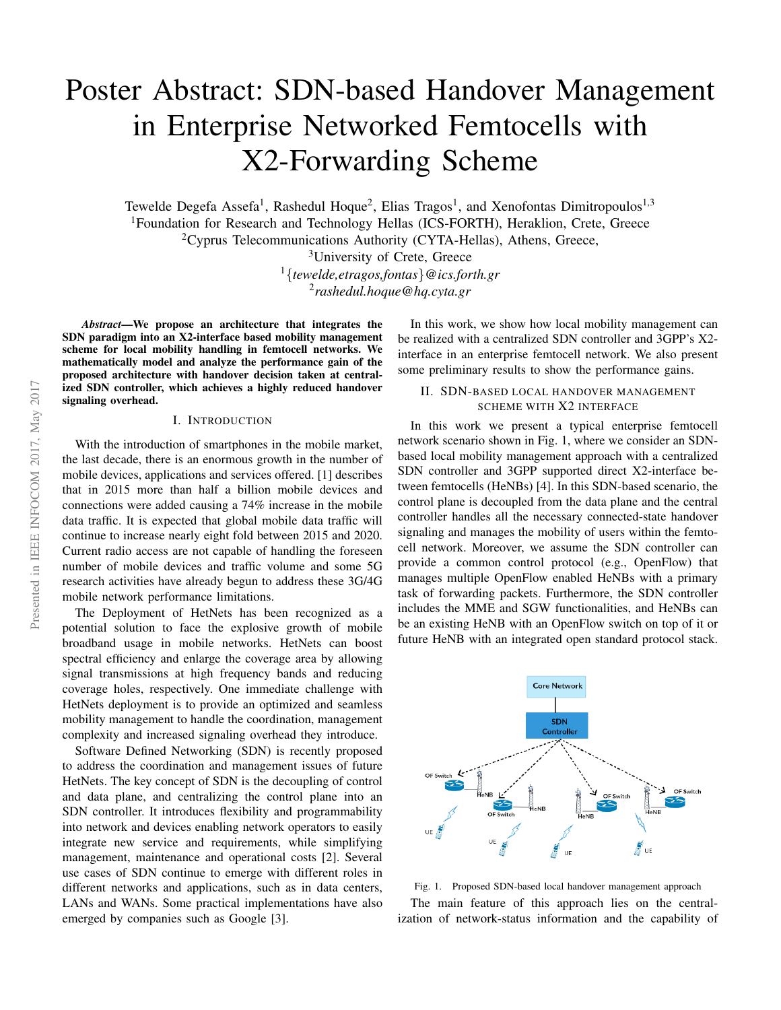# Poster Abstract: SDN-based Handover Management in Enterprise Networked Femtocells with X2-Forwarding Scheme

Tewelde Degefa Assefa<sup>1</sup>, Rashedul Hoque<sup>2</sup>, Elias Tragos<sup>1</sup>, and Xenofontas Dimitropoulos<sup>1,3</sup> <sup>1</sup>Foundation for Research and Technology Hellas (ICS-FORTH), Heraklion, Crete, Greece <sup>2</sup>Cyprus Telecommunications Authority (CYTA-Hellas), Athens, Greece,

<sup>3</sup>University of Crete, Greece

<sup>1</sup>{*tewelde,etragos,fontas*}*@ics.forth.gr*

2 *rashedul.hoque@hq.cyta.gr*

*Abstract*—We propose an architecture that integrates the SDN paradigm into an X2-interface based mobility management scheme for local mobility handling in femtocell networks. We mathematically model and analyze the performance gain of the proposed architecture with handover decision taken at centralized SDN controller, which achieves a highly reduced handover signaling overhead.

#### I. INTRODUCTION

With the introduction of smartphones in the mobile market, the last decade, there is an enormous growth in the number of mobile devices, applications and services offered. [1] describes that in 2015 more than half a billion mobile devices and connections were added causing a 74% increase in the mobile data traffic. It is expected that global mobile data traffic will continue to increase nearly eight fold between 2015 and 2020. Current radio access are not capable of handling the foreseen number of mobile devices and traffic volume and some 5G research activities have already begun to address these 3G/4G mobile network performance limitations.

The Deployment of HetNets has been recognized as a potential solution to face the explosive growth of mobile broadband usage in mobile networks. HetNets can boost spectral efficiency and enlarge the coverage area by allowing signal transmissions at high frequency bands and reducing coverage holes, respectively. One immediate challenge with HetNets deployment is to provide an optimized and seamless mobility management to handle the coordination, management complexity and increased signaling overhead they introduce.

Software Defined Networking (SDN) is recently proposed to address the coordination and management issues of future HetNets. The key concept of SDN is the decoupling of control and data plane, and centralizing the control plane into an SDN controller. It introduces flexibility and programmability into network and devices enabling network operators to easily integrate new service and requirements, while simplifying management, maintenance and operational costs [2]. Several use cases of SDN continue to emerge with different roles in different networks and applications, such as in data centers, LANs and WANs. Some practical implementations have also emerged by companies such as Google [3].

In this work, we show how local mobility management can be realized with a centralized SDN controller and 3GPP's X2 interface in an enterprise femtocell network. We also present some preliminary results to show the performance gains.

## II. SDN-BASED LOCAL HANDOVER MANAGEMENT SCHEME WITH X2 INTERFACE

In this work we present a typical enterprise femtocell network scenario shown in Fig. 1, where we consider an SDNbased local mobility management approach with a centralized SDN controller and 3GPP supported direct X2-interface between femtocells (HeNBs) [4]. In this SDN-based scenario, the control plane is decoupled from the data plane and the central controller handles all the necessary connected-state handover signaling and manages the mobility of users within the femtocell network. Moreover, we assume the SDN controller can provide a common control protocol (e.g., OpenFlow) that manages multiple OpenFlow enabled HeNBs with a primary task of forwarding packets. Furthermore, the SDN controller includes the MME and SGW functionalities, and HeNBs can be an existing HeNB with an OpenFlow switch on top of it or future HeNB with an integrated open standard protocol stack.



Fig. 1. Proposed SDN-based local handover management approach The main feature of this approach lies on the centralization of network-status information and the capability of